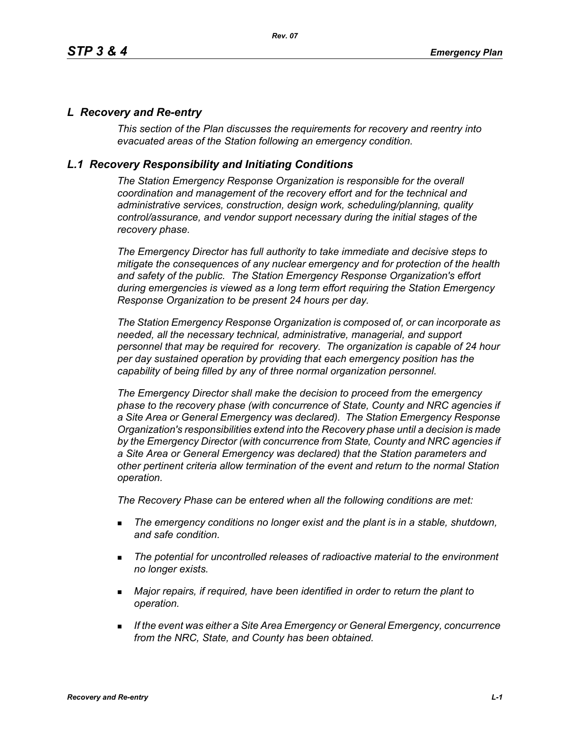### *L Recovery and Re-entry*

*This section of the Plan discusses the requirements for recovery and reentry into evacuated areas of the Station following an emergency condition.* 

### *L.1 Recovery Responsibility and Initiating Conditions*

*The Station Emergency Response Organization is responsible for the overall coordination and management of the recovery effort and for the technical and administrative services, construction, design work, scheduling/planning, quality control/assurance, and vendor support necessary during the initial stages of the recovery phase.*

*The Emergency Director has full authority to take immediate and decisive steps to mitigate the consequences of any nuclear emergency and for protection of the health and safety of the public. The Station Emergency Response Organization's effort during emergencies is viewed as a long term effort requiring the Station Emergency Response Organization to be present 24 hours per day.*

*The Station Emergency Response Organization is composed of, or can incorporate as needed, all the necessary technical, administrative, managerial, and support personnel that may be required for recovery. The organization is capable of 24 hour per day sustained operation by providing that each emergency position has the capability of being filled by any of three normal organization personnel.*

*The Emergency Director shall make the decision to proceed from the emergency phase to the recovery phase (with concurrence of State, County and NRC agencies if a Site Area or General Emergency was declared). The Station Emergency Response Organization's responsibilities extend into the Recovery phase until a decision is made by the Emergency Director (with concurrence from State, County and NRC agencies if a Site Area or General Emergency was declared) that the Station parameters and other pertinent criteria allow termination of the event and return to the normal Station operation.*

*The Recovery Phase can be entered when all the following conditions are met:*

- *The emergency conditions no longer exist and the plant is in a stable, shutdown, and safe condition.*
- *The potential for uncontrolled releases of radioactive material to the environment no longer exists.*
- *Major repairs, if required, have been identified in order to return the plant to operation.*
- *If the event was either a Site Area Emergency or General Emergency, concurrence from the NRC, State, and County has been obtained.*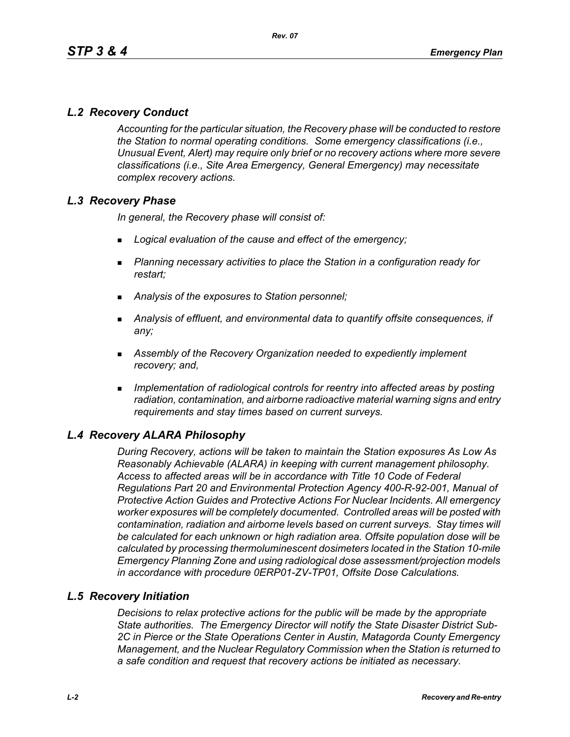# *L.2 Recovery Conduct*

*Accounting for the particular situation, the Recovery phase will be conducted to restore the Station to normal operating conditions. Some emergency classifications (i.e., Unusual Event, Alert) may require only brief or no recovery actions where more severe classifications (i.e., Site Area Emergency, General Emergency) may necessitate complex recovery actions.*

# *L.3 Recovery Phase*

*In general, the Recovery phase will consist of:*

- *Logical evaluation of the cause and effect of the emergency;*
- *Planning necessary activities to place the Station in a configuration ready for restart;*
- *Analysis of the exposures to Station personnel;*
- *Analysis of effluent, and environmental data to quantify offsite consequences, if any;*
- *Assembly of the Recovery Organization needed to expediently implement recovery; and,*
- *Implementation of radiological controls for reentry into affected areas by posting radiation, contamination, and airborne radioactive material warning signs and entry requirements and stay times based on current surveys.*

# *L.4 Recovery ALARA Philosophy*

*During Recovery, actions will be taken to maintain the Station exposures As Low As Reasonably Achievable (ALARA) in keeping with current management philosophy. Access to affected areas will be in accordance with Title 10 Code of Federal Regulations Part 20 and Environmental Protection Agency 400-R-92-001, Manual of Protective Action Guides and Protective Actions For Nuclear Incidents. All emergency worker exposures will be completely documented. Controlled areas will be posted with contamination, radiation and airborne levels based on current surveys. Stay times will be calculated for each unknown or high radiation area. Offsite population dose will be calculated by processing thermoluminescent dosimeters located in the Station 10-mile Emergency Planning Zone and using radiological dose assessment/projection models in accordance with procedure 0ERP01-ZV-TP01, Offsite Dose Calculations.*

### *L.5 Recovery Initiation*

*Decisions to relax protective actions for the public will be made by the appropriate State authorities. The Emergency Director will notify the State Disaster District Sub-2C in Pierce or the State Operations Center in Austin, Matagorda County Emergency Management, and the Nuclear Regulatory Commission when the Station is returned to a safe condition and request that recovery actions be initiated as necessary.*